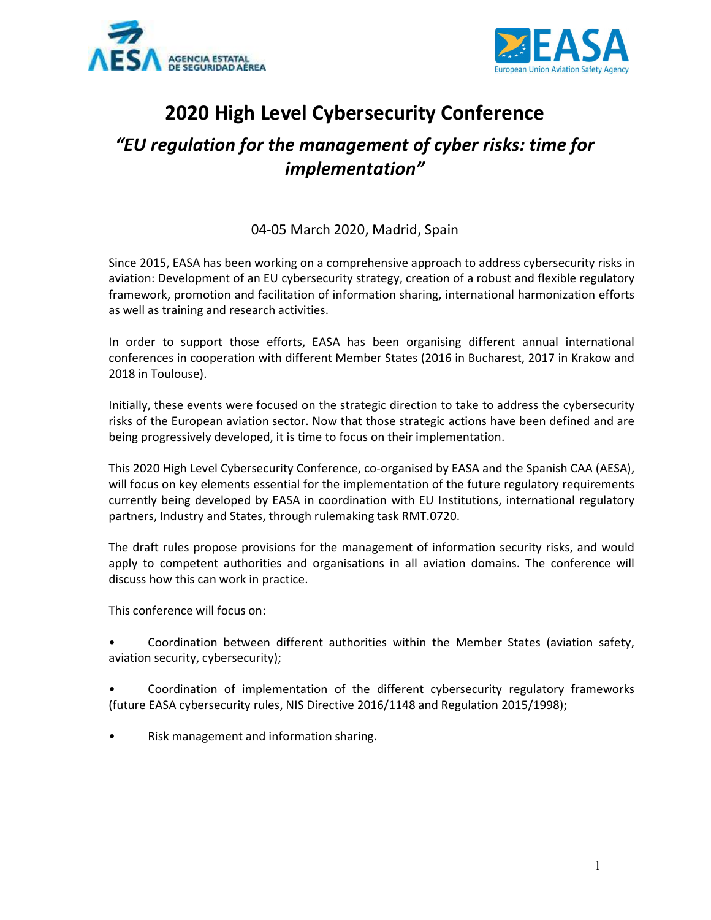



# 2020 High Level Cybersecurity Conference

## "EU regulation for the management of cyber risks: time for implementation"

### 04-05 March 2020, Madrid, Spain

Since 2015, EASA has been working on a comprehensive approach to address cybersecurity risks in aviation: Development of an EU cybersecurity strategy, creation of a robust and flexible regulatory framework, promotion and facilitation of information sharing, international harmonization efforts as well as training and research activities.

In order to support those efforts, EASA has been organising different annual international conferences in cooperation with different Member States (2016 in Bucharest, 2017 in Krakow and 2018 in Toulouse).

Initially, these events were focused on the strategic direction to take to address the cybersecurity risks of the European aviation sector. Now that those strategic actions have been defined and are being progressively developed, it is time to focus on their implementation.

This 2020 High Level Cybersecurity Conference, co-organised by EASA and the Spanish CAA (AESA), will focus on key elements essential for the implementation of the future regulatory requirements currently being developed by EASA in coordination with EU Institutions, international regulatory partners, Industry and States, through rulemaking task RMT.0720.

The draft rules propose provisions for the management of information security risks, and would apply to competent authorities and organisations in all aviation domains. The conference will discuss how this can work in practice.

This conference will focus on:

• Coordination between different authorities within the Member States (aviation safety, aviation security, cybersecurity);

• Coordination of implementation of the different cybersecurity regulatory frameworks (future EASA cybersecurity rules, NIS Directive 2016/1148 and Regulation 2015/1998);

• Risk management and information sharing.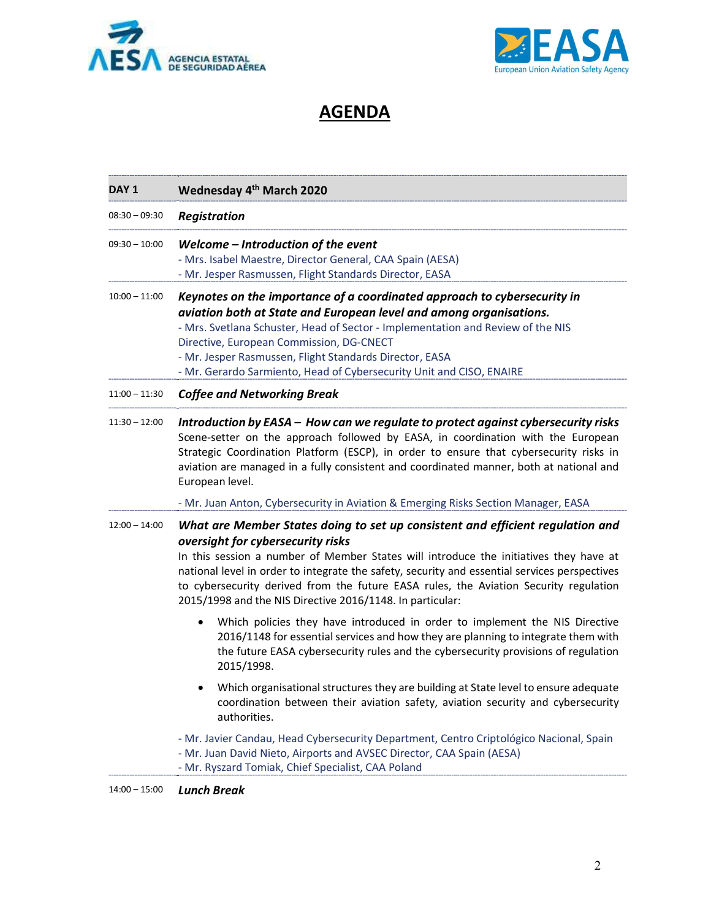



## AGENDA

| DAY 1           | Wednesday 4 <sup>th</sup> March 2020                                                                                                                                                                                                                                                                                                                                                                                                                                |
|-----------------|---------------------------------------------------------------------------------------------------------------------------------------------------------------------------------------------------------------------------------------------------------------------------------------------------------------------------------------------------------------------------------------------------------------------------------------------------------------------|
| $08:30 - 09:30$ | <b>Registration</b>                                                                                                                                                                                                                                                                                                                                                                                                                                                 |
| $09:30 - 10:00$ | Welcome - Introduction of the event<br>- Mrs. Isabel Maestre, Director General, CAA Spain (AESA)<br>- Mr. Jesper Rasmussen, Flight Standards Director, EASA                                                                                                                                                                                                                                                                                                         |
| $10:00 - 11:00$ | Keynotes on the importance of a coordinated approach to cybersecurity in<br>aviation both at State and European level and among organisations.<br>- Mrs. Svetlana Schuster, Head of Sector - Implementation and Review of the NIS<br>Directive, European Commission, DG-CNECT<br>- Mr. Jesper Rasmussen, Flight Standards Director, EASA<br>- Mr. Gerardo Sarmiento, Head of Cybersecurity Unit and CISO, ENAIRE                                                    |
| $11:00 - 11:30$ | <b>Coffee and Networking Break</b>                                                                                                                                                                                                                                                                                                                                                                                                                                  |
| $11:30 - 12:00$ | Introduction by EASA - How can we regulate to protect against cybersecurity risks<br>Scene-setter on the approach followed by EASA, in coordination with the European<br>Strategic Coordination Platform (ESCP), in order to ensure that cybersecurity risks in<br>aviation are managed in a fully consistent and coordinated manner, both at national and<br>European level.                                                                                       |
|                 | - Mr. Juan Anton, Cybersecurity in Aviation & Emerging Risks Section Manager, EASA                                                                                                                                                                                                                                                                                                                                                                                  |
| $12:00 - 14:00$ | What are Member States doing to set up consistent and efficient regulation and<br>oversight for cybersecurity risks<br>In this session a number of Member States will introduce the initiatives they have at<br>national level in order to integrate the safety, security and essential services perspectives<br>to cybersecurity derived from the future EASA rules, the Aviation Security regulation<br>2015/1998 and the NIS Directive 2016/1148. In particular: |
|                 | Which policies they have introduced in order to implement the NIS Directive<br>2016/1148 for essential services and how they are planning to integrate them with<br>the future EASA cybersecurity rules and the cybersecurity provisions of regulation<br>2015/1998.                                                                                                                                                                                                |
|                 | Which organisational structures they are building at State level to ensure adequate<br>coordination between their aviation safety, aviation security and cybersecurity<br>authorities.                                                                                                                                                                                                                                                                              |
|                 | - Mr. Javier Candau, Head Cybersecurity Department, Centro Criptológico Nacional, Spain<br>- Mr. Juan David Nieto, Airports and AVSEC Director, CAA Spain (AESA)<br>- Mr. Ryszard Tomiak, Chief Specialist, CAA Poland                                                                                                                                                                                                                                              |

14:00 – 15:00 Lunch Break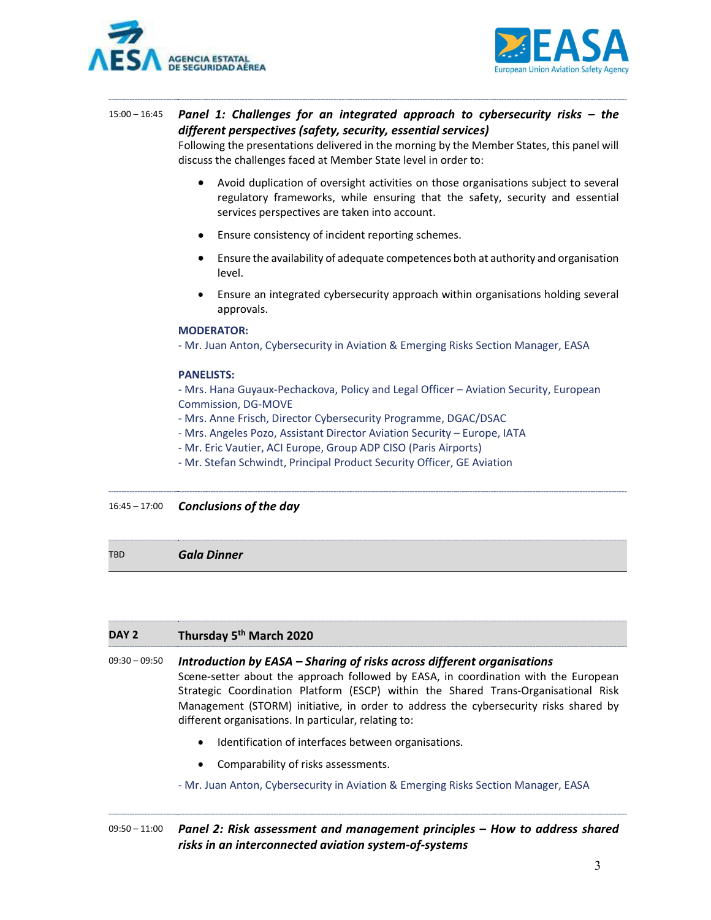



### 15:00 – 16:45 Panel 1: Challenges for an integrated approach to cybersecurity risks – the different perspectives (safety, security, essential services)

Following the presentations delivered in the morning by the Member States, this panel will discuss the challenges faced at Member State level in order to:

- Avoid duplication of oversight activities on those organisations subject to several regulatory frameworks, while ensuring that the safety, security and essential services perspectives are taken into account.
- Ensure consistency of incident reporting schemes.
- Ensure the availability of adequate competences both at authority and organisation level.
- Ensure an integrated cybersecurity approach within organisations holding several approvals.

#### MODERATOR:

- Mr. Juan Anton, Cybersecurity in Aviation & Emerging Risks Section Manager, EASA

#### PANELISTS:

- Mrs. Hana Guyaux-Pechackova, Policy and Legal Officer – Aviation Security, European Commission, DG-MOVE

- Mrs. Anne Frisch, Director Cybersecurity Programme, DGAC/DSAC
- Mrs. Angeles Pozo, Assistant Director Aviation Security Europe, IATA
- Mr. Eric Vautier, ACI Europe, Group ADP CISO (Paris Airports)
- Mr. Stefan Schwindt, Principal Product Security Officer, GE Aviation

 $16:45 - 17:00$  Conclusions of the day

TBD Gala Dinner

#### DAY 2 Thursday 5<sup>th</sup> March 2020

09:30 - 09:50 Introduction by EASA - Sharing of risks across different organisations Scene-setter about the approach followed by EASA, in coordination with the European Strategic Coordination Platform (ESCP) within the Shared Trans-Organisational Risk Management (STORM) initiative, in order to address the cybersecurity risks shared by different organisations. In particular, relating to:

- $\bullet$  Identification of interfaces between organisations.
- Comparability of risks assessments.

- Mr. Juan Anton, Cybersecurity in Aviation & Emerging Risks Section Manager, EASA

#### 09:50 – 11:00 Panel 2: Risk assessment and management principles – How to address shared risks in an interconnected aviation system-of-systems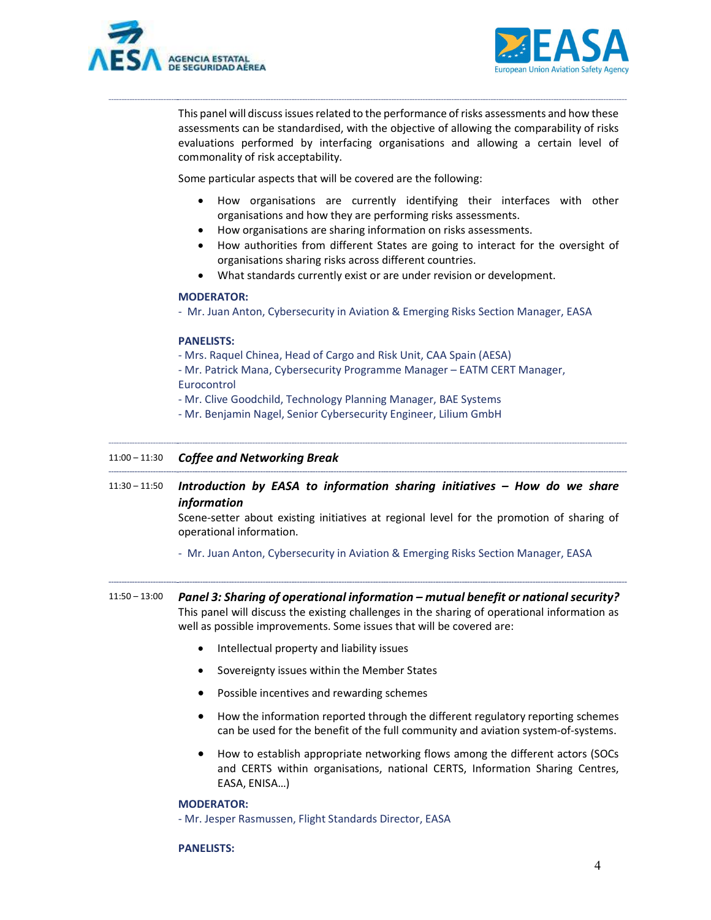



This panel will discuss issues related to the performance of risks assessments and how these assessments can be standardised, with the objective of allowing the comparability of risks evaluations performed by interfacing organisations and allowing a certain level of commonality of risk acceptability.

Some particular aspects that will be covered are the following:

- How organisations are currently identifying their interfaces with other organisations and how they are performing risks assessments.
- How organisations are sharing information on risks assessments.
- How authorities from different States are going to interact for the oversight of organisations sharing risks across different countries.
- What standards currently exist or are under revision or development.

#### MODERATOR:

- Mr. Juan Anton, Cybersecurity in Aviation & Emerging Risks Section Manager, EASA

#### PANELISTS:

- Mrs. Raquel Chinea, Head of Cargo and Risk Unit, CAA Spain (AESA)

- Mr. Patrick Mana, Cybersecurity Programme Manager – EATM CERT Manager, Eurocontrol

- Mr. Clive Goodchild, Technology Planning Manager, BAE Systems

- Mr. Benjamin Nagel, Senior Cybersecurity Engineer, Lilium GmbH

#### 11:00 – 11:30 Coffee and Networking Break

 $11:30 - 11:50$  Introduction by EASA to information sharing initiatives - How do we share information

> Scene-setter about existing initiatives at regional level for the promotion of sharing of operational information.

- Mr. Juan Anton, Cybersecurity in Aviation & Emerging Risks Section Manager, EASA
- 11:50 13:00 Panel 3: Sharing of operational information mutual benefit or national security? This panel will discuss the existing challenges in the sharing of operational information as well as possible improvements. Some issues that will be covered are:
	- Intellectual property and liability issues
	- Sovereignty issues within the Member States
	- Possible incentives and rewarding schemes
	- How the information reported through the different regulatory reporting schemes can be used for the benefit of the full community and aviation system-of-systems.
	- How to establish appropriate networking flows among the different actors (SOCs and CERTS within organisations, national CERTS, Information Sharing Centres, EASA, ENISA…)

#### MODERATOR:

- Mr. Jesper Rasmussen, Flight Standards Director, EASA

#### PANELISTS: